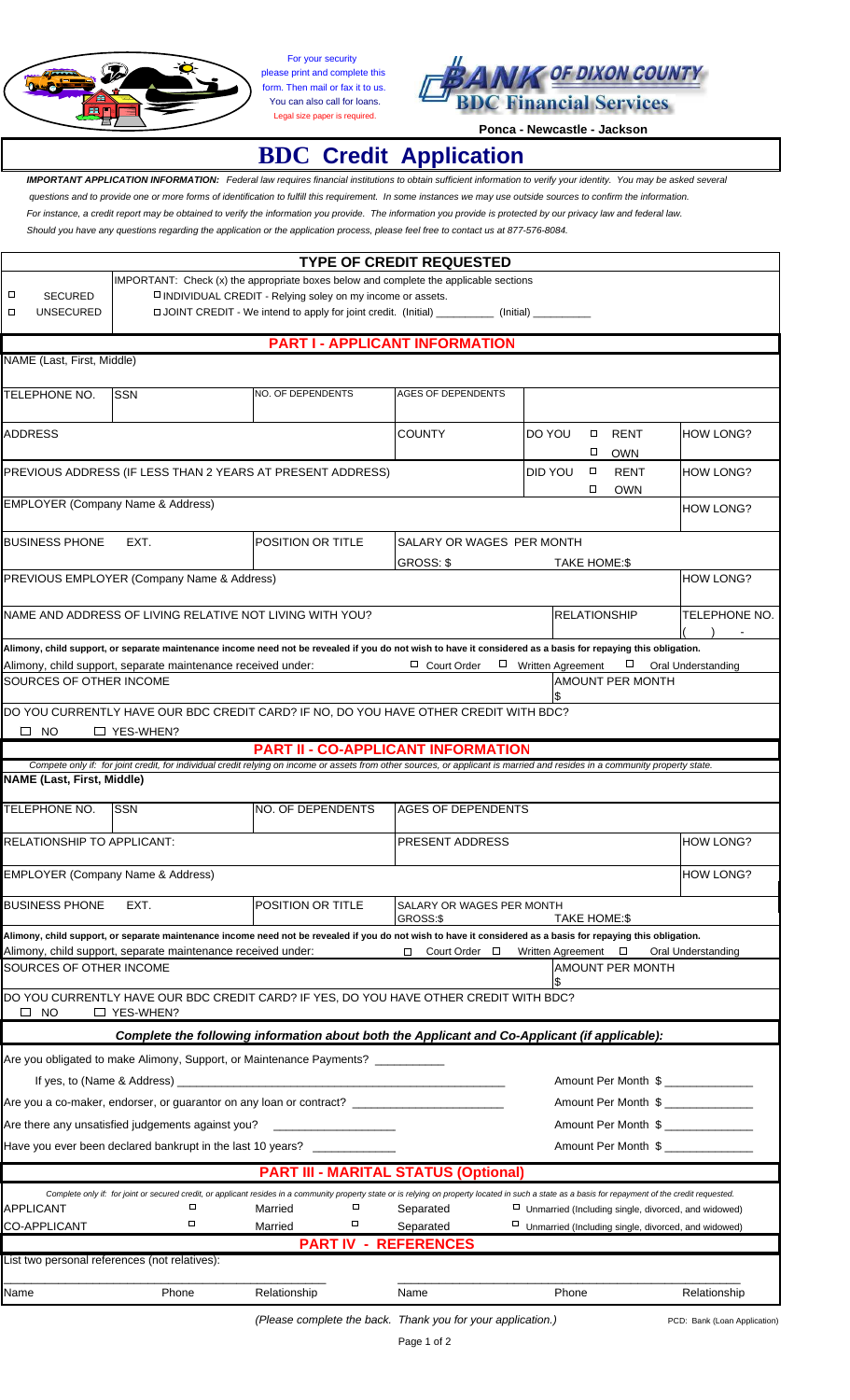

For your security please print and complete this form. Then mail or fax it to us. You can also call for loans. Legal size paper is required.



## **Ponca - Newcastle - Jackson**

## **BDC Credit Application**

 *IMPORTANT APPLICATION INFORMATION: Federal law requires financial institutions to obtain sufficient information to verify your identity. You may be asked several questions and to provide one or more forms of identification to fulfill this requirement. In some instances we may use outside sources to confirm the information. For instance, a credit report may be obtained to verify the information you provide. The information you provide is protected by our privacy law and federal law. Should you have any questions regarding the application or the application process, please feel free to contact us at 877-576-8084.*

| <b>TYPE OF CREDIT REQUESTED</b>                                                                                                                                                                       |                                                                                                                                                            |                                                                                                                                                                                                                                |                           |                          |                     |                         |                              |  |  |
|-------------------------------------------------------------------------------------------------------------------------------------------------------------------------------------------------------|------------------------------------------------------------------------------------------------------------------------------------------------------------|--------------------------------------------------------------------------------------------------------------------------------------------------------------------------------------------------------------------------------|---------------------------|--------------------------|---------------------|-------------------------|------------------------------|--|--|
|                                                                                                                                                                                                       |                                                                                                                                                            | IMPORTANT: Check (x) the appropriate boxes below and complete the applicable sections                                                                                                                                          |                           |                          |                     |                         |                              |  |  |
| □<br><b>SECURED</b>                                                                                                                                                                                   | □ INDIVIDUAL CREDIT - Relying soley on my income or assets.                                                                                                |                                                                                                                                                                                                                                |                           |                          |                     |                         |                              |  |  |
| <b>UNSECURED</b><br>□                                                                                                                                                                                 | □ JOINT CREDIT - We intend to apply for joint credit. (Initial) _______________ (Initial) _______________                                                  |                                                                                                                                                                                                                                |                           |                          |                     |                         |                              |  |  |
| <b>PART I - APPLICANT INFORMATION</b>                                                                                                                                                                 |                                                                                                                                                            |                                                                                                                                                                                                                                |                           |                          |                     |                         |                              |  |  |
| NAME (Last, First, Middle)                                                                                                                                                                            |                                                                                                                                                            |                                                                                                                                                                                                                                |                           |                          |                     |                         |                              |  |  |
|                                                                                                                                                                                                       |                                                                                                                                                            |                                                                                                                                                                                                                                |                           |                          |                     |                         |                              |  |  |
| TELEPHONE NO.                                                                                                                                                                                         | <b>SSN</b>                                                                                                                                                 | <b>NO. OF DEPENDENTS</b>                                                                                                                                                                                                       | <b>AGES OF DEPENDENTS</b> |                          |                     |                         |                              |  |  |
|                                                                                                                                                                                                       |                                                                                                                                                            |                                                                                                                                                                                                                                |                           |                          |                     |                         |                              |  |  |
| <b>ADDRESS</b>                                                                                                                                                                                        |                                                                                                                                                            |                                                                                                                                                                                                                                | <b>COUNTY</b>             | DO YOU                   |                     | $\Box$ RENT             | HOW LONG?                    |  |  |
|                                                                                                                                                                                                       |                                                                                                                                                            |                                                                                                                                                                                                                                |                           |                          | □                   | <b>OWN</b>              |                              |  |  |
|                                                                                                                                                                                                       |                                                                                                                                                            |                                                                                                                                                                                                                                | DID YOU                   | $\Box$                   | <b>RENT</b>         | <b>HOW LONG?</b>        |                              |  |  |
| PREVIOUS ADDRESS (IF LESS THAN 2 YEARS AT PRESENT ADDRESS)<br>$\Box$<br><b>OWN</b>                                                                                                                    |                                                                                                                                                            |                                                                                                                                                                                                                                |                           |                          |                     |                         |                              |  |  |
| EMPLOYER (Company Name & Address)                                                                                                                                                                     |                                                                                                                                                            |                                                                                                                                                                                                                                |                           |                          |                     |                         | <b>HOW LONG?</b>             |  |  |
|                                                                                                                                                                                                       |                                                                                                                                                            |                                                                                                                                                                                                                                |                           |                          |                     |                         |                              |  |  |
| <b>BUSINESS PHONE</b>                                                                                                                                                                                 | EXT.                                                                                                                                                       | <b>POSITION OR TITLE</b>                                                                                                                                                                                                       | SALARY OR WAGES PER MONTH |                          |                     |                         |                              |  |  |
|                                                                                                                                                                                                       |                                                                                                                                                            |                                                                                                                                                                                                                                | GROSS: \$                 | TAKE HOME:\$             |                     |                         |                              |  |  |
|                                                                                                                                                                                                       | PREVIOUS EMPLOYER (Company Name & Address)                                                                                                                 |                                                                                                                                                                                                                                |                           |                          |                     |                         | IHOW LONG?                   |  |  |
|                                                                                                                                                                                                       |                                                                                                                                                            |                                                                                                                                                                                                                                |                           |                          |                     |                         |                              |  |  |
|                                                                                                                                                                                                       | NAME AND ADDRESS OF LIVING RELATIVE NOT LIVING WITH YOU?                                                                                                   |                                                                                                                                                                                                                                |                           | <b>RELATIONSHIP</b>      |                     |                         | ITELEPHONE NO.               |  |  |
|                                                                                                                                                                                                       |                                                                                                                                                            |                                                                                                                                                                                                                                |                           |                          |                     |                         |                              |  |  |
|                                                                                                                                                                                                       |                                                                                                                                                            | Alimony, child support, or separate maintenance income need not be revealed if you do not wish to have it considered as a basis for repaying this obligation.                                                                  |                           |                          |                     |                         |                              |  |  |
| SOURCES OF OTHER INCOME                                                                                                                                                                               | Alimony, child support, separate maintenance received under:                                                                                               |                                                                                                                                                                                                                                | □ Court Order             | $\Box$ Written Agreement |                     | <b>AMOUNT PER MONTH</b> | □ Oral Understanding         |  |  |
|                                                                                                                                                                                                       |                                                                                                                                                            |                                                                                                                                                                                                                                |                           |                          |                     |                         |                              |  |  |
|                                                                                                                                                                                                       |                                                                                                                                                            | DO YOU CURRENTLY HAVE OUR BDC CREDIT CARD? IF NO, DO YOU HAVE OTHER CREDIT WITH BDC?                                                                                                                                           |                           |                          |                     |                         |                              |  |  |
| $\Box$ NO                                                                                                                                                                                             | $\Box$ YES-WHEN?                                                                                                                                           |                                                                                                                                                                                                                                |                           |                          |                     |                         |                              |  |  |
|                                                                                                                                                                                                       |                                                                                                                                                            | <b>PART II - CO-APPLICANT INFORMATION</b>                                                                                                                                                                                      |                           |                          |                     |                         |                              |  |  |
|                                                                                                                                                                                                       |                                                                                                                                                            | Compete only if: for joint credit, for individual credit relying on income or assets from other sources, or applicant is married and resides in a community property state.                                                    |                           |                          |                     |                         |                              |  |  |
| <b>NAME</b> (Last, First, Middle)                                                                                                                                                                     |                                                                                                                                                            |                                                                                                                                                                                                                                |                           |                          |                     |                         |                              |  |  |
| TELEPHONE NO.                                                                                                                                                                                         | <b>SSN</b>                                                                                                                                                 | NO. OF DEPENDENTS                                                                                                                                                                                                              | IAGES OF DEPENDENTS       |                          |                     |                         |                              |  |  |
|                                                                                                                                                                                                       |                                                                                                                                                            |                                                                                                                                                                                                                                |                           |                          |                     |                         |                              |  |  |
| <b>RELATIONSHIP TO APPLICANT:</b>                                                                                                                                                                     |                                                                                                                                                            |                                                                                                                                                                                                                                | <b>PRESENT ADDRESS</b>    |                          |                     |                         | <b>HOW LONG?</b>             |  |  |
|                                                                                                                                                                                                       |                                                                                                                                                            |                                                                                                                                                                                                                                |                           |                          |                     |                         |                              |  |  |
| <b>HOW LONG?</b><br><b>EMPLOYER (Company Name &amp; Address)</b>                                                                                                                                      |                                                                                                                                                            |                                                                                                                                                                                                                                |                           |                          |                     |                         |                              |  |  |
| <b>BUSINESS PHONE</b>                                                                                                                                                                                 | EXT.                                                                                                                                                       | POSITION OR TITLE                                                                                                                                                                                                              | SALARY OR WAGES PER MONTH |                          |                     |                         |                              |  |  |
|                                                                                                                                                                                                       |                                                                                                                                                            |                                                                                                                                                                                                                                | GROSS:\$                  | TAKE HOME:\$             |                     |                         |                              |  |  |
| Alimony, child support, or separate maintenance income need not be revealed if you do not wish to have it considered as a basis for repaying this obligation.                                         |                                                                                                                                                            |                                                                                                                                                                                                                                |                           |                          |                     |                         |                              |  |  |
| Alimony, child support, separate maintenance received under:<br>Court Order $\Box$<br>$\Box$<br>Written Agreement $\Box$<br>Oral Understanding                                                        |                                                                                                                                                            |                                                                                                                                                                                                                                |                           |                          |                     |                         |                              |  |  |
| SOURCES OF OTHER INCOME<br><b>AMOUNT PER MONTH</b>                                                                                                                                                    |                                                                                                                                                            |                                                                                                                                                                                                                                |                           |                          |                     |                         |                              |  |  |
| DO YOU CURRENTLY HAVE OUR BDC CREDIT CARD? IF YES, DO YOU HAVE OTHER CREDIT WITH BDC?                                                                                                                 |                                                                                                                                                            |                                                                                                                                                                                                                                |                           |                          |                     |                         |                              |  |  |
| $\Box$ NO                                                                                                                                                                                             | $\Box$ YES-WHEN?                                                                                                                                           |                                                                                                                                                                                                                                |                           |                          |                     |                         |                              |  |  |
|                                                                                                                                                                                                       |                                                                                                                                                            | Complete the following information about both the Applicant and Co-Applicant (if applicable):                                                                                                                                  |                           |                          |                     |                         |                              |  |  |
|                                                                                                                                                                                                       |                                                                                                                                                            | Are you obligated to make Alimony, Support, or Maintenance Payments? ___________                                                                                                                                               |                           |                          |                     |                         |                              |  |  |
|                                                                                                                                                                                                       |                                                                                                                                                            |                                                                                                                                                                                                                                |                           |                          |                     |                         |                              |  |  |
|                                                                                                                                                                                                       |                                                                                                                                                            | If yes, to (Name & Address) example and the set of the set of the set of the set of the set of the set of the set of the set of the set of the set of the set of the set of the set of the set of the set of the set of the se |                           |                          |                     |                         | Amount Per Month \$          |  |  |
|                                                                                                                                                                                                       |                                                                                                                                                            |                                                                                                                                                                                                                                |                           |                          | Amount Per Month \$ |                         |                              |  |  |
| Are there any unsatisfied judgements against you?                                                                                                                                                     |                                                                                                                                                            |                                                                                                                                                                                                                                |                           |                          | Amount Per Month \$ |                         |                              |  |  |
|                                                                                                                                                                                                       | Have you ever been declared bankrupt in the last 10 years? _____________<br>Amount Per Month \$                                                            |                                                                                                                                                                                                                                |                           |                          |                     |                         |                              |  |  |
|                                                                                                                                                                                                       |                                                                                                                                                            | <b>PART III - MARITAL STATUS (Optional)</b>                                                                                                                                                                                    |                           |                          |                     |                         |                              |  |  |
| Complete only if: for joint or secured credit, or applicant resides in a community property state or is relying on property located in such a state as a basis for repayment of the credit requested. |                                                                                                                                                            |                                                                                                                                                                                                                                |                           |                          |                     |                         |                              |  |  |
| APPLICANT                                                                                                                                                                                             | $\Box$                                                                                                                                                     | □<br>Married                                                                                                                                                                                                                   | Separated                 |                          |                     |                         |                              |  |  |
| <b>CO-APPLICANT</b>                                                                                                                                                                                   | $\Box$ Unmarried (Including single, divorced, and widowed)<br>□<br>□<br>$\Box$ Unmarried (Including single, divorced, and widowed)<br>Married<br>Separated |                                                                                                                                                                                                                                |                           |                          |                     |                         |                              |  |  |
|                                                                                                                                                                                                       |                                                                                                                                                            | <b>PART IV - REFERENCES</b>                                                                                                                                                                                                    |                           |                          |                     |                         |                              |  |  |
|                                                                                                                                                                                                       | List two personal references (not relatives):                                                                                                              |                                                                                                                                                                                                                                |                           |                          |                     |                         |                              |  |  |
|                                                                                                                                                                                                       |                                                                                                                                                            |                                                                                                                                                                                                                                |                           |                          |                     |                         |                              |  |  |
| Name                                                                                                                                                                                                  | Phone                                                                                                                                                      | Relationship                                                                                                                                                                                                                   | Name                      | Phone                    |                     |                         | Relationship                 |  |  |
|                                                                                                                                                                                                       |                                                                                                                                                            | (Please complete the back. Thank you for your application.)                                                                                                                                                                    |                           |                          |                     |                         | PCD: Bank (Loan Application) |  |  |